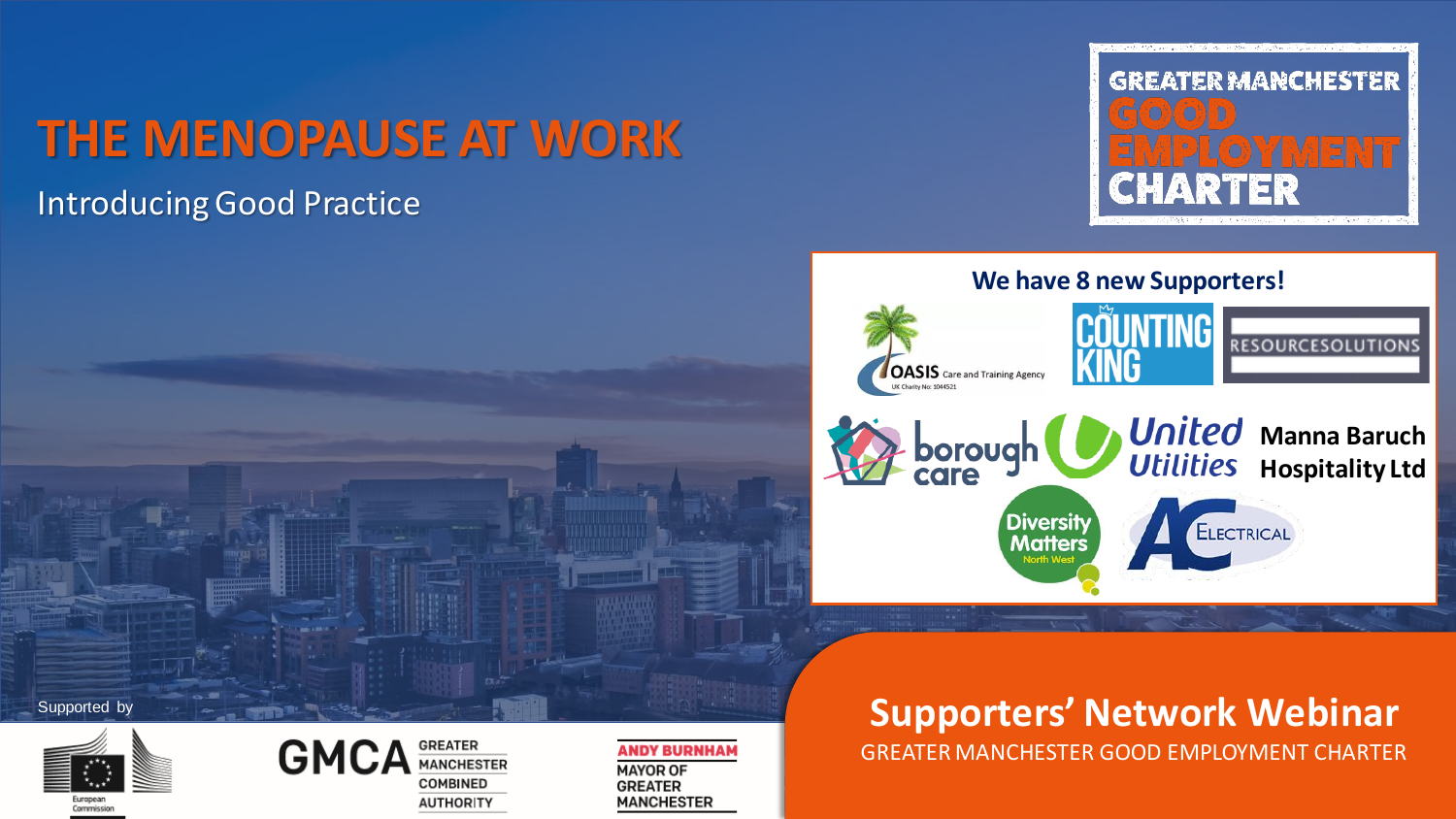## **THE MENOPAUSE AT WORK**

### Introducing Good Practice



#### **We have 8 new Supporters!**



borough<br>care

**Diversity** 

**Matters** 



**United<br>Utilities Manna Baruch Hospitality Ltd**

ELECTRICAL



GREATER MANCHESTER GOOD EMPLOYMENT CHARTER





**ANDY BURNHAM MAYOR OF GREATER MANCHESTER**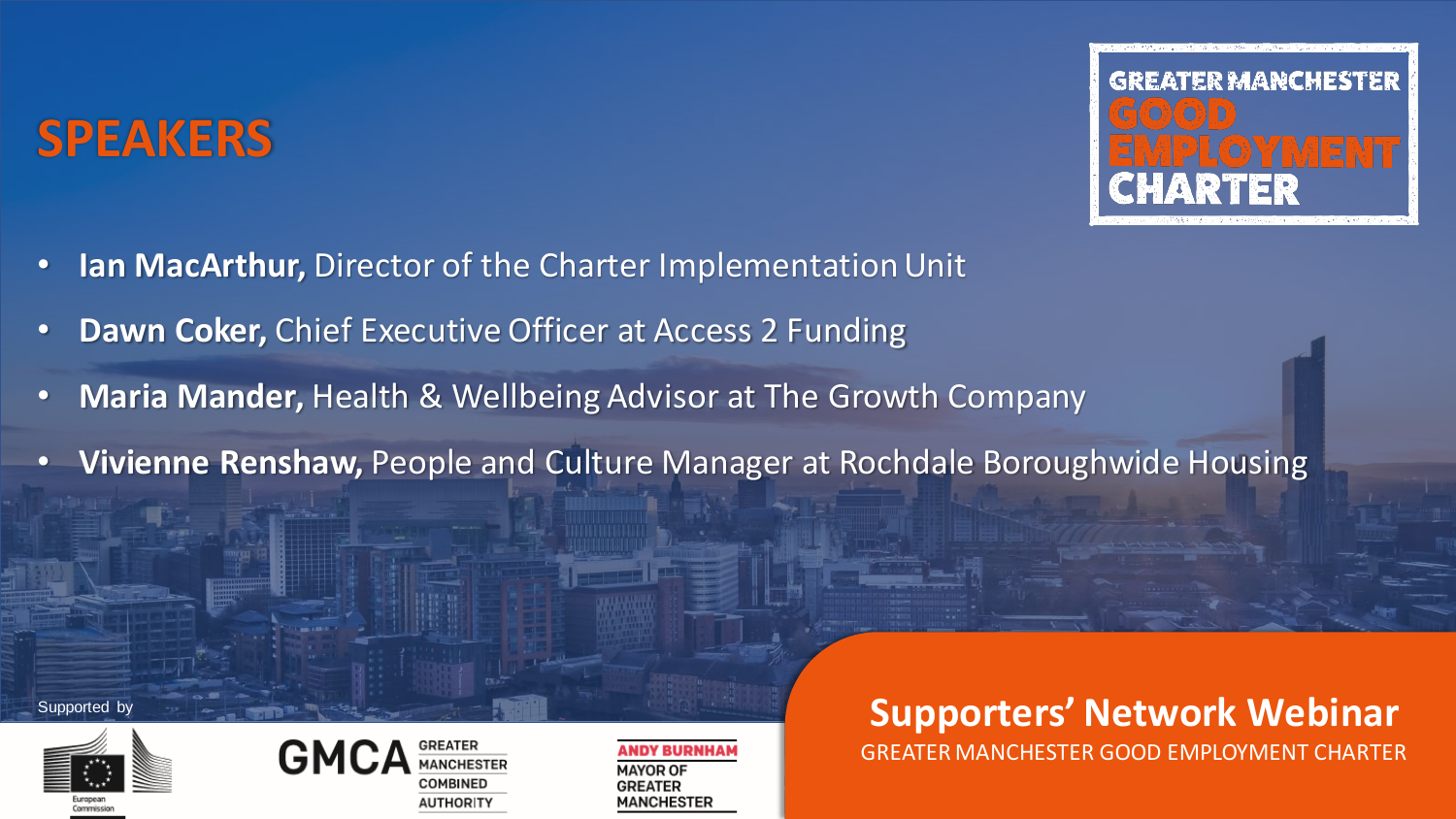### **SPEAKERS**



- **Ian MacArthur,** Director of the Charter Implementation Unit
- **Dawn Coker, Chief Executive Officer at Access 2 Funding**
- **Maria Mander,** Health & Wellbeing Advisor at The Growth Company
- **Vivienne Renshaw,** People and Culture Manager at Rochdale Boroughwide Housing





**MAYOR OF GREATER MANCHESTER** 

### Supported by **Supporters' Network Webinar**

GREATER MANCHESTER GOOD EMPLOYMENT CHARTER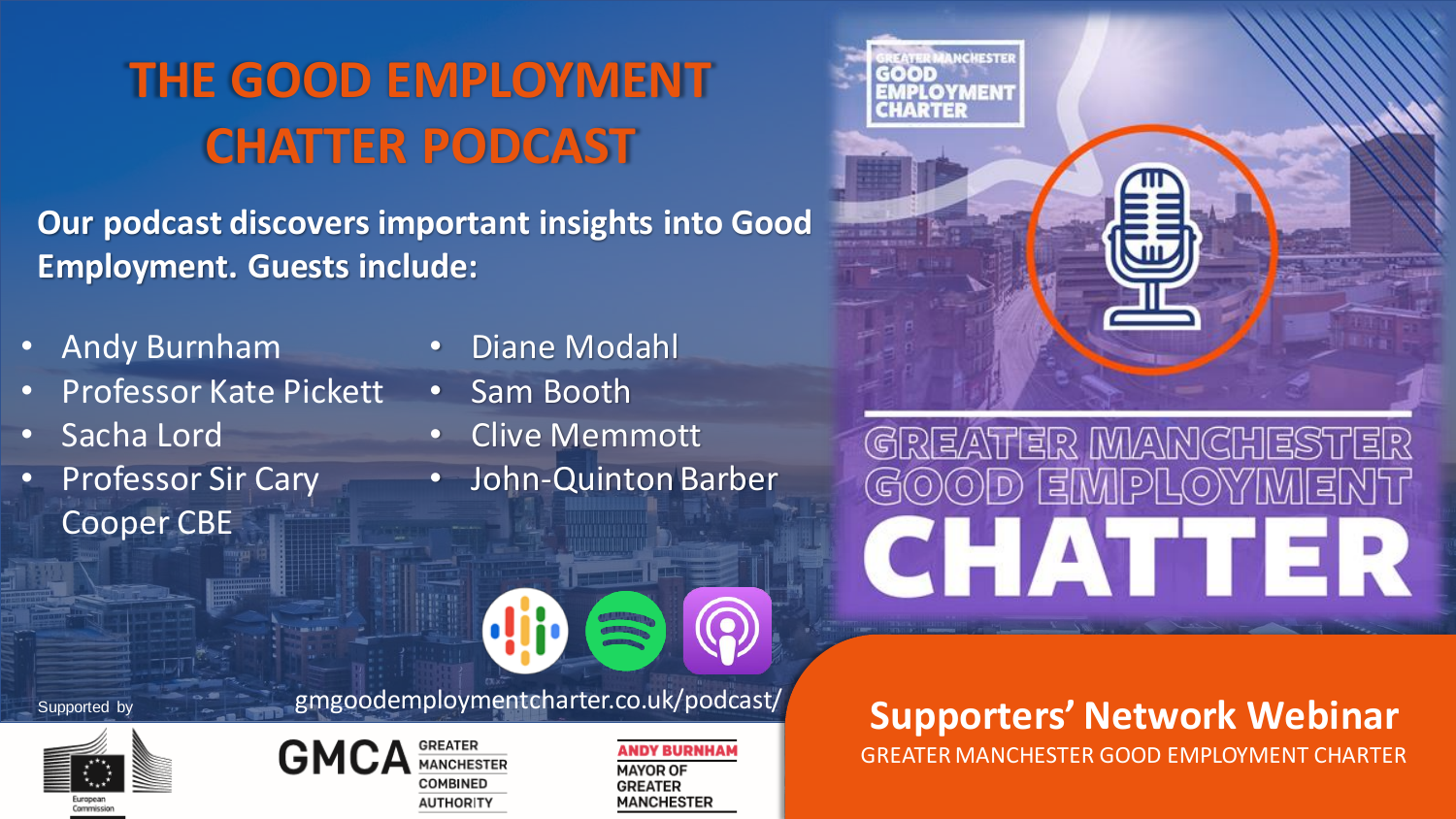# **THE GOOD EMPLOYMENT CHATTER PODCAST**

**Our podcast discovers important insights into Good Employment. Guests include:**

- Andy Burnham
- Professor Kate Pickett
- Sacha Lord
- Professor Sir Cary Cooper CBE
- Diane Modahl
- Sam Booth

gmgoodemploymentcharter.co.uk/podcast/

- Clive Memmott
- John-Quinton Barber

GREATER MANCHESTER WIPIL(O) |티 CHATTER

# Supported by **SUPPORTER SUPPORTERS' Network Webinar**<br> **Supporters' Network Webinar**<br> **SUPPORTER** SANCHESTER GOOD EMPLOYMENT CHARTER

GREATER MANCHESTER GOOD EMPLOYMENT CHARTER





**ANDY BURNHAM MAYOR OF GREATER MANCHESTER**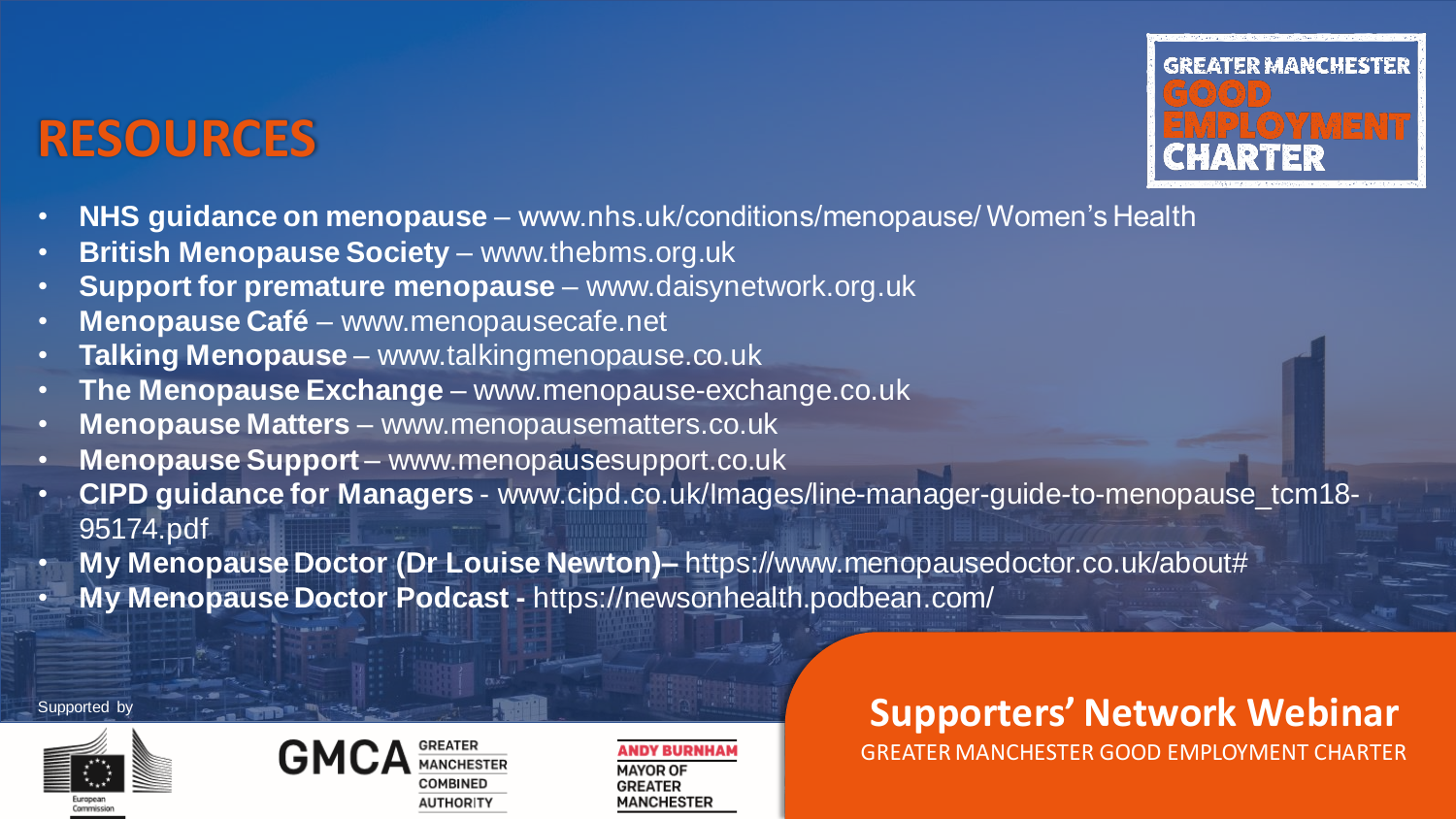### **RESOURCES**



- **NHS guidance on menopause** www.nhs.uk/conditions/menopause/ Women's Health
- **British Menopause Society** www.thebms.org.uk
- **Support for premature menopause** www.daisynetwork.org.uk
- **Menopause Café** www.menopausecafe.net
- **Talking Menopause** www.talkingmenopause.co.uk
- **The Menopause Exchange** www.menopause-exchange.co.uk
- **Menopause Matters** www.menopausematters.co.uk
- **Menopause Support** www.menopausesupport.co.uk
- **CIPD guidance for Managers** www.cipd.co.uk/Images/line-manager-guide-to-menopause\_tcm18- 95174.pdf
- **My Menopause Doctor (Dr Louise Newton)–** https://www.menopausedoctor.co.uk/about#
- **My Menopause Doctor Podcast -** https://newsonhealth.podbean.com/





**INDY BURNHAM MAYOR OF** GREATER **MANCHESTER** 

### Supported by **Supporters' Network Webinar**

R MANCHESTER GOOD EMPLOYMENT.